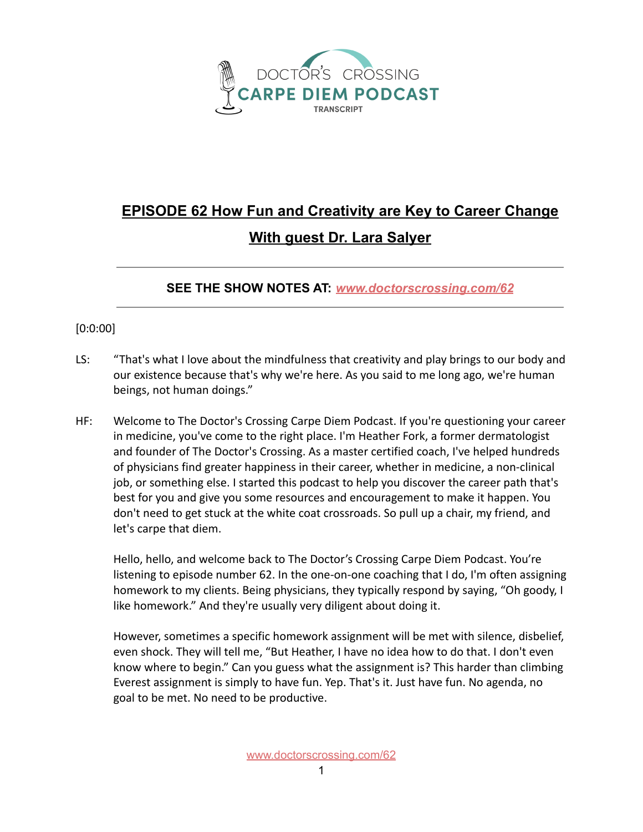

## **EPISODE 62 How Fun and Creativity are Key to Career Change With guest Dr. Lara Salyer**

**SEE THE SHOW NOTES AT:** *[www.doctorscrossing.com/62](http://www.doctorscrossing.com/62)*

## [0:0:00]

- LS: "That's what I love about the mindfulness that creativity and play brings to our body and our existence because that's why we're here. As you said to me long ago, we're human beings, not human doings."
- HF: Welcome to The Doctor's Crossing Carpe Diem Podcast. If you're questioning your career in medicine, you've come to the right place. I'm Heather Fork, a former dermatologist and founder of The Doctor's Crossing. As a master certified coach, I've helped hundreds of physicians find greater happiness in their career, whether in medicine, a non-clinical job, or something else. I started this podcast to help you discover the career path that's best for you and give you some resources and encouragement to make it happen. You don't need to get stuck at the white coat crossroads. So pull up a chair, my friend, and let's carpe that diem.

Hello, hello, and welcome back to The Doctor's Crossing Carpe Diem Podcast. You're listening to episode number 62. In the one-on-one coaching that I do, I'm often assigning homework to my clients. Being physicians, they typically respond by saying, "Oh goody, I like homework." And they're usually very diligent about doing it.

However, sometimes a specific homework assignment will be met with silence, disbelief, even shock. They will tell me, "But Heather, I have no idea how to do that. I don't even know where to begin." Can you guess what the assignment is? This harder than climbing Everest assignment is simply to have fun. Yep. That's it. Just have fun. No agenda, no goal to be met. No need to be productive.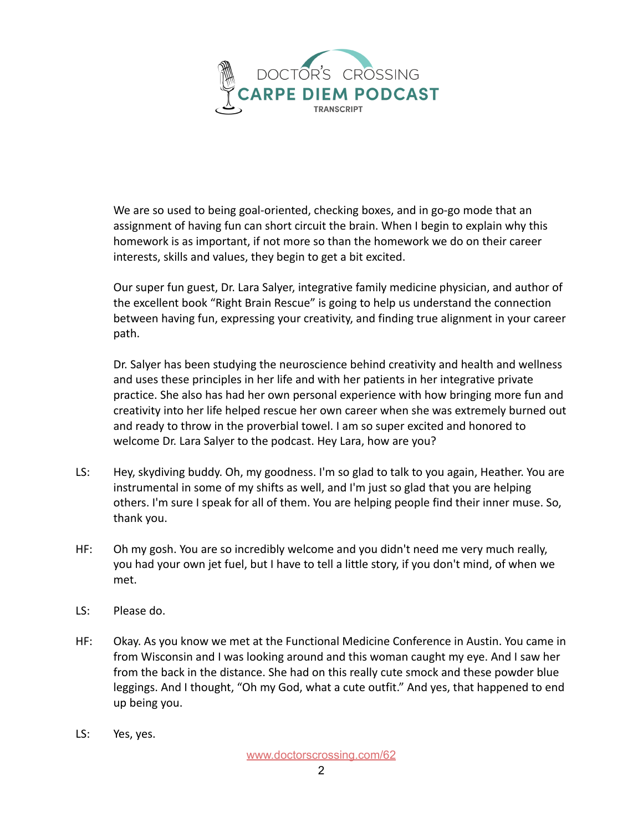

We are so used to being goal-oriented, checking boxes, and in go-go mode that an assignment of having fun can short circuit the brain. When I begin to explain why this homework is as important, if not more so than the homework we do on their career interests, skills and values, they begin to get a bit excited.

Our super fun guest, Dr. Lara Salyer, integrative family medicine physician, and author of the excellent book "Right Brain Rescue" is going to help us understand the connection between having fun, expressing your creativity, and finding true alignment in your career path.

Dr. Salyer has been studying the neuroscience behind creativity and health and wellness and uses these principles in her life and with her patients in her integrative private practice. She also has had her own personal experience with how bringing more fun and creativity into her life helped rescue her own career when she was extremely burned out and ready to throw in the proverbial towel. I am so super excited and honored to welcome Dr. Lara Salyer to the podcast. Hey Lara, how are you?

- LS: Hey, skydiving buddy. Oh, my goodness. I'm so glad to talk to you again, Heather. You are instrumental in some of my shifts as well, and I'm just so glad that you are helping others. I'm sure I speak for all of them. You are helping people find their inner muse. So, thank you.
- HF: Oh my gosh. You are so incredibly welcome and you didn't need me very much really, you had your own jet fuel, but I have to tell a little story, if you don't mind, of when we met.
- LS: Please do.
- HF: Okay. As you know we met at the Functional Medicine Conference in Austin. You came in from Wisconsin and I was looking around and this woman caught my eye. And I saw her from the back in the distance. She had on this really cute smock and these powder blue leggings. And I thought, "Oh my God, what a cute outfit." And yes, that happened to end up being you.
- LS: Yes, yes.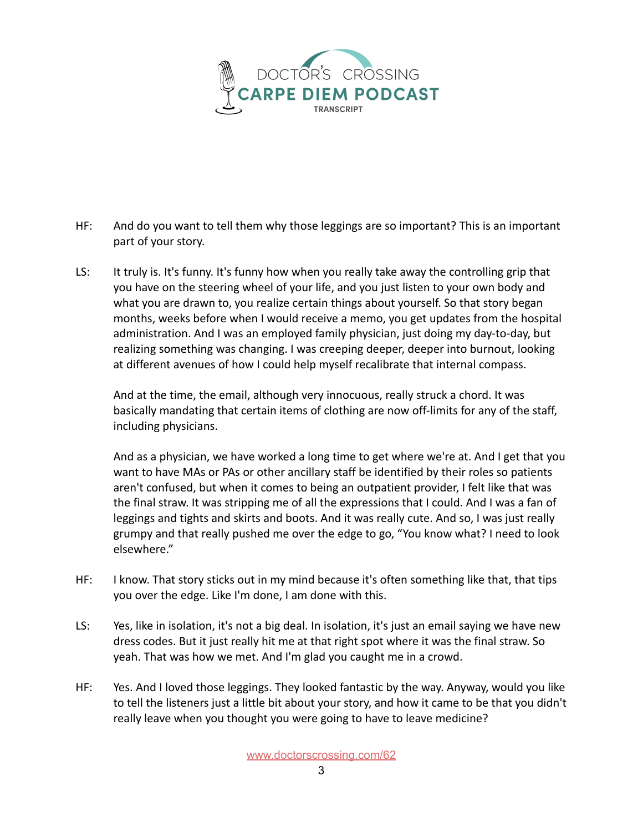

- HF: And do you want to tell them why those leggings are so important? This is an important part of your story.
- LS: It truly is. It's funny. It's funny how when you really take away the controlling grip that you have on the steering wheel of your life, and you just listen to your own body and what you are drawn to, you realize certain things about yourself. So that story began months, weeks before when I would receive a memo, you get updates from the hospital administration. And I was an employed family physician, just doing my day-to-day, but realizing something was changing. I was creeping deeper, deeper into burnout, looking at different avenues of how I could help myself recalibrate that internal compass.

And at the time, the email, although very innocuous, really struck a chord. It was basically mandating that certain items of clothing are now off-limits for any of the staff, including physicians.

And as a physician, we have worked a long time to get where we're at. And I get that you want to have MAs or PAs or other ancillary staff be identified by their roles so patients aren't confused, but when it comes to being an outpatient provider, I felt like that was the final straw. It was stripping me of all the expressions that I could. And I was a fan of leggings and tights and skirts and boots. And it was really cute. And so, I was just really grumpy and that really pushed me over the edge to go, "You know what? I need to look elsewhere."

- HF: I know. That story sticks out in my mind because it's often something like that, that tips you over the edge. Like I'm done, I am done with this.
- LS: Yes, like in isolation, it's not a big deal. In isolation, it's just an email saying we have new dress codes. But it just really hit me at that right spot where it was the final straw. So yeah. That was how we met. And I'm glad you caught me in a crowd.
- HF: Yes. And I loved those leggings. They looked fantastic by the way. Anyway, would you like to tell the listeners just a little bit about your story, and how it came to be that you didn't really leave when you thought you were going to have to leave medicine?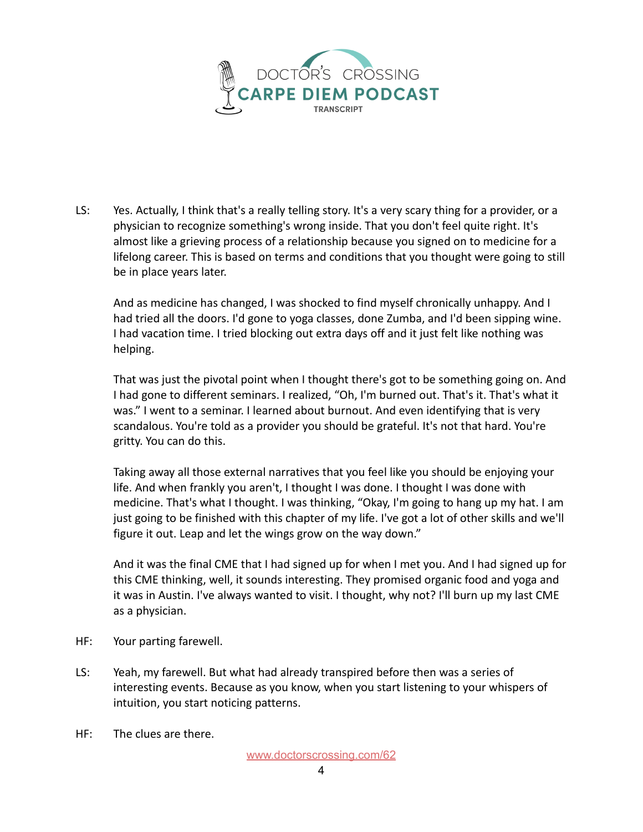

LS: Yes. Actually, I think that's a really telling story. It's a very scary thing for a provider, or a physician to recognize something's wrong inside. That you don't feel quite right. It's almost like a grieving process of a relationship because you signed on to medicine for a lifelong career. This is based on terms and conditions that you thought were going to still be in place years later.

And as medicine has changed, I was shocked to find myself chronically unhappy. And I had tried all the doors. I'd gone to yoga classes, done Zumba, and I'd been sipping wine. I had vacation time. I tried blocking out extra days off and it just felt like nothing was helping.

That was just the pivotal point when I thought there's got to be something going on. And I had gone to different seminars. I realized, "Oh, I'm burned out. That's it. That's what it was." I went to a seminar. I learned about burnout. And even identifying that is very scandalous. You're told as a provider you should be grateful. It's not that hard. You're gritty. You can do this.

Taking away all those external narratives that you feel like you should be enjoying your life. And when frankly you aren't, I thought I was done. I thought I was done with medicine. That's what I thought. I was thinking, "Okay, I'm going to hang up my hat. I am just going to be finished with this chapter of my life. I've got a lot of other skills and we'll figure it out. Leap and let the wings grow on the way down."

And it was the final CME that I had signed up for when I met you. And I had signed up for this CME thinking, well, it sounds interesting. They promised organic food and yoga and it was in Austin. I've always wanted to visit. I thought, why not? I'll burn up my last CME as a physician.

- HF: Your parting farewell.
- LS: Yeah, my farewell. But what had already transpired before then was a series of interesting events. Because as you know, when you start listening to your whispers of intuition, you start noticing patterns.
- HF: The clues are there.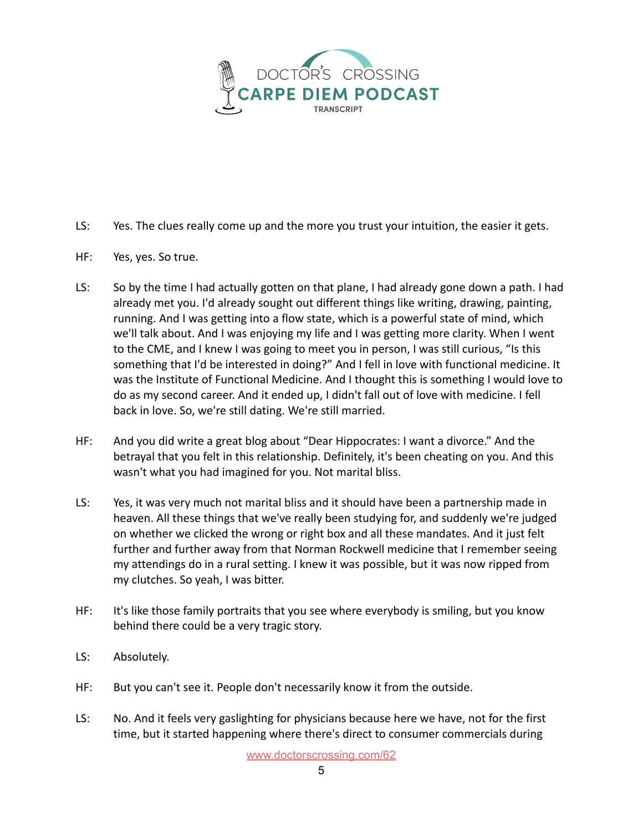

- LS: Yes. The clues really come up and the more you trust your intuition, the easier it gets.
- HF: Yes, yes. So true.
- LS: So by the time I had actually gotten on that plane, I had already gone down a path. I had already met you. I'd already sought out different things like writing, drawing, painting, running. And I was getting into a flow state, which is a powerful state of mind, which we'll talk about. And I was enjoying my life and I was getting more clarity. When I went to the CME, and I knew I was going to meet you in person, I was still curious, "Is this something that I'd be interested in doing?" And I fell in love with functional medicine. It was the Institute of Functional Medicine. And I thought this is something I would love to do as my second career. And it ended up, I didn't fall out of love with medicine. I fell back in love. So, we're still dating. We're still married.
- HF: And you did write a great blog about "Dear Hippocrates: I want a divorce." And the betrayal that you felt in this relationship. Definitely, it's been cheating on you. And this wasn't what you had imagined for you. Not marital bliss.
- LS: Yes, it was very much not marital bliss and it should have been a partnership made in heaven. All these things that we've really been studying for, and suddenly we're judged on whether we clicked the wrong or right box and all these mandates. And it just felt further and further away from that Norman Rockwell medicine that I remember seeing my attendings do in a rural setting. I knew it was possible, but it was now ripped from my clutches. So yeah, I was bitter.
- HF: It's like those family portraits that you see where everybody is smiling, but you know behind there could be a very tragic story.
- LS: Absolutely.
- HF: But you can't see it. People don't necessarily know it from the outside.
- LS: No. And it feels very gaslighting for physicians because here we have, not for the first time, but it started happening where there's direct to consumer commercials during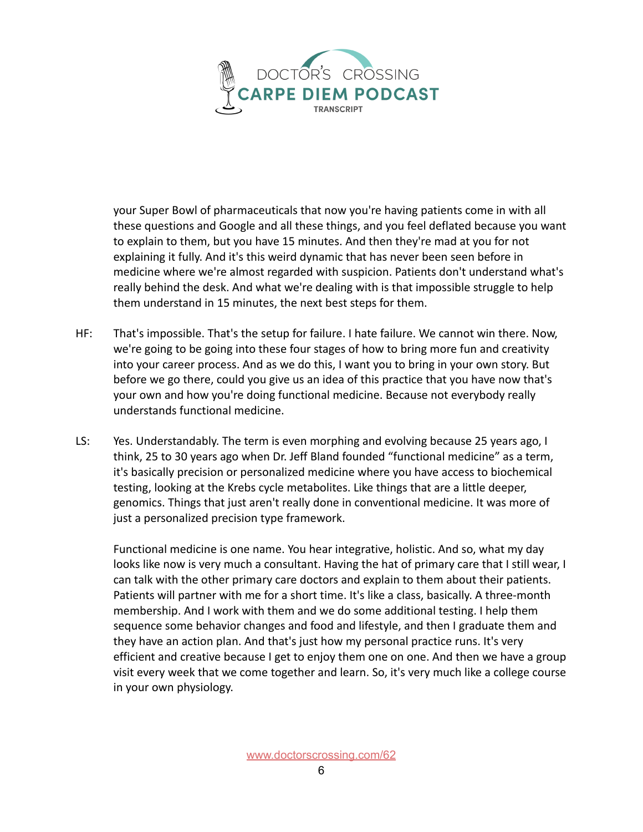

your Super Bowl of pharmaceuticals that now you're having patients come in with all these questions and Google and all these things, and you feel deflated because you want to explain to them, but you have 15 minutes. And then they're mad at you for not explaining it fully. And it's this weird dynamic that has never been seen before in medicine where we're almost regarded with suspicion. Patients don't understand what's really behind the desk. And what we're dealing with is that impossible struggle to help them understand in 15 minutes, the next best steps for them.

- HF: That's impossible. That's the setup for failure. I hate failure. We cannot win there. Now, we're going to be going into these four stages of how to bring more fun and creativity into your career process. And as we do this, I want you to bring in your own story. But before we go there, could you give us an idea of this practice that you have now that's your own and how you're doing functional medicine. Because not everybody really understands functional medicine.
- LS: Yes. Understandably. The term is even morphing and evolving because 25 years ago, I think, 25 to 30 years ago when Dr. Jeff Bland founded "functional medicine" as a term, it's basically precision or personalized medicine where you have access to biochemical testing, looking at the Krebs cycle metabolites. Like things that are a little deeper, genomics. Things that just aren't really done in conventional medicine. It was more of just a personalized precision type framework.

Functional medicine is one name. You hear integrative, holistic. And so, what my day looks like now is very much a consultant. Having the hat of primary care that I still wear, I can talk with the other primary care doctors and explain to them about their patients. Patients will partner with me for a short time. It's like a class, basically. A three-month membership. And I work with them and we do some additional testing. I help them sequence some behavior changes and food and lifestyle, and then I graduate them and they have an action plan. And that's just how my personal practice runs. It's very efficient and creative because I get to enjoy them one on one. And then we have a group visit every week that we come together and learn. So, it's very much like a college course in your own physiology.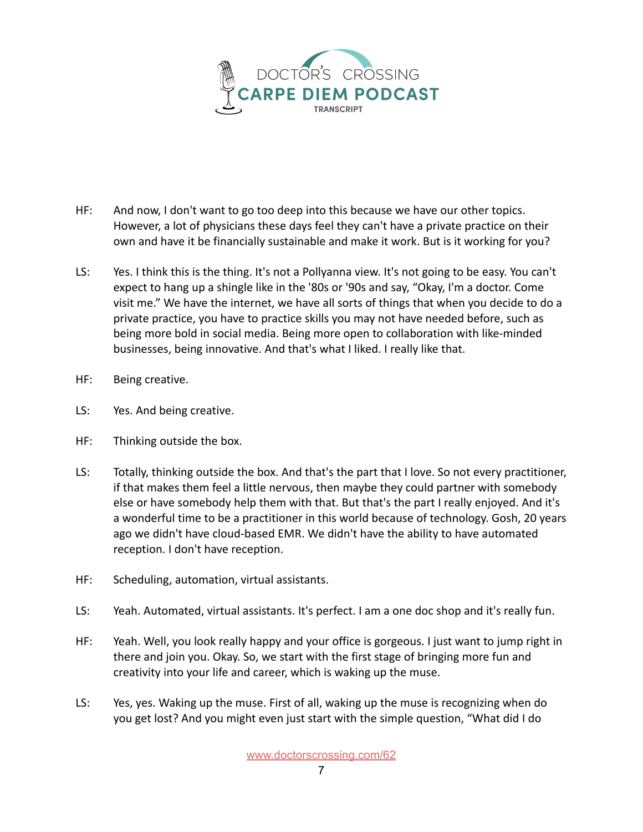

- HF: And now, I don't want to go too deep into this because we have our other topics. However, a lot of physicians these days feel they can't have a private practice on their own and have it be financially sustainable and make it work. But is it working for you?
- LS: Yes. I think this is the thing. It's not a Pollyanna view. It's not going to be easy. You can't expect to hang up a shingle like in the '80s or '90s and say, "Okay, I'm a doctor. Come visit me." We have the internet, we have all sorts of things that when you decide to do a private practice, you have to practice skills you may not have needed before, such as being more bold in social media. Being more open to collaboration with like-minded businesses, being innovative. And that's what I liked. I really like that.
- HF: Being creative.
- LS: Yes. And being creative.
- HF: Thinking outside the box.
- LS: Totally, thinking outside the box. And that's the part that I love. So not every practitioner, if that makes them feel a little nervous, then maybe they could partner with somebody else or have somebody help them with that. But that's the part I really enjoyed. And it's a wonderful time to be a practitioner in this world because of technology. Gosh, 20 years ago we didn't have cloud-based EMR. We didn't have the ability to have automated reception. I don't have reception.
- HF: Scheduling, automation, virtual assistants.
- LS: Yeah. Automated, virtual assistants. It's perfect. I am a one doc shop and it's really fun.
- HF: Yeah. Well, you look really happy and your office is gorgeous. I just want to jump right in there and join you. Okay. So, we start with the first stage of bringing more fun and creativity into your life and career, which is waking up the muse.
- LS: Yes, yes. Waking up the muse. First of all, waking up the muse is recognizing when do you get lost? And you might even just start with the simple question, "What did I do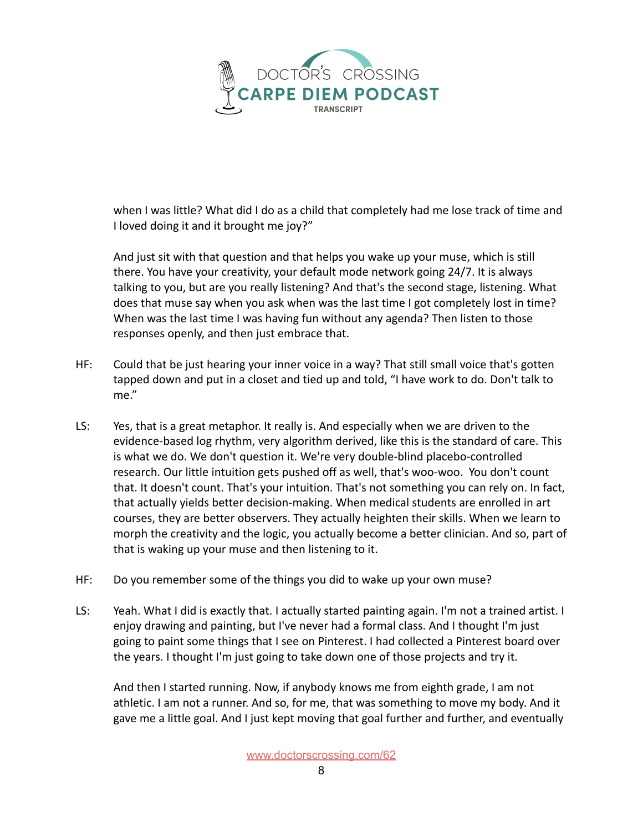

when I was little? What did I do as a child that completely had me lose track of time and I loved doing it and it brought me joy?"

And just sit with that question and that helps you wake up your muse, which is still there. You have your creativity, your default mode network going 24/7. It is always talking to you, but are you really listening? And that's the second stage, listening. What does that muse say when you ask when was the last time I got completely lost in time? When was the last time I was having fun without any agenda? Then listen to those responses openly, and then just embrace that.

- HF: Could that be just hearing your inner voice in a way? That still small voice that's gotten tapped down and put in a closet and tied up and told, "I have work to do. Don't talk to me."
- LS: Yes, that is a great metaphor. It really is. And especially when we are driven to the evidence-based log rhythm, very algorithm derived, like this is the standard of care. This is what we do. We don't question it. We're very double-blind placebo-controlled research. Our little intuition gets pushed off as well, that's woo-woo. You don't count that. It doesn't count. That's your intuition. That's not something you can rely on. In fact, that actually yields better decision-making. When medical students are enrolled in art courses, they are better observers. They actually heighten their skills. When we learn to morph the creativity and the logic, you actually become a better clinician. And so, part of that is waking up your muse and then listening to it.
- HF: Do you remember some of the things you did to wake up your own muse?
- LS: Yeah. What I did is exactly that. I actually started painting again. I'm not a trained artist. I enjoy drawing and painting, but I've never had a formal class. And I thought I'm just going to paint some things that I see on Pinterest. I had collected a Pinterest board over the years. I thought I'm just going to take down one of those projects and try it.

And then I started running. Now, if anybody knows me from eighth grade, I am not athletic. I am not a runner. And so, for me, that was something to move my body. And it gave me a little goal. And I just kept moving that goal further and further, and eventually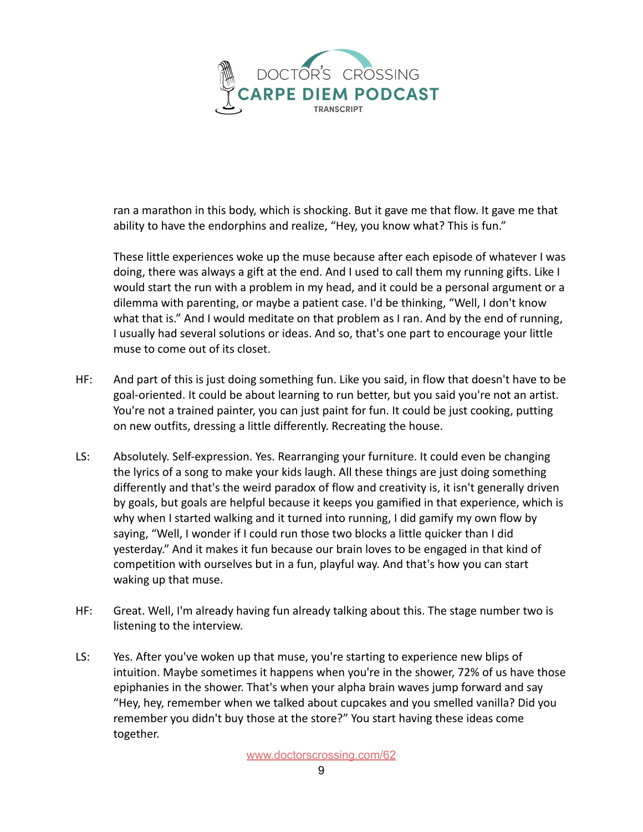

ran a marathon in this body, which is shocking. But it gave me that flow. It gave me that ability to have the endorphins and realize, "Hey, you know what? This is fun."

These little experiences woke up the muse because after each episode of whatever I was doing, there was always a gift at the end. And I used to call them my running gifts. Like I would start the run with a problem in my head, and it could be a personal argument or a dilemma with parenting, or maybe a patient case. I'd be thinking, "Well, I don't know what that is." And I would meditate on that problem as I ran. And by the end of running, I usually had several solutions or ideas. And so, that's one part to encourage your little muse to come out of its closet.

- HF: And part of this is just doing something fun. Like you said, in flow that doesn't have to be goal-oriented. It could be about learning to run better, but you said you're not an artist. You're not a trained painter, you can just paint for fun. It could be just cooking, putting on new outfits, dressing a little differently. Recreating the house.
- LS: Absolutely. Self-expression. Yes. Rearranging your furniture. It could even be changing the lyrics of a song to make your kids laugh. All these things are just doing something differently and that's the weird paradox of flow and creativity is, it isn't generally driven by goals, but goals are helpful because it keeps you gamified in that experience, which is why when I started walking and it turned into running, I did gamify my own flow by saying, "Well, I wonder if I could run those two blocks a little quicker than I did yesterday." And it makes it fun because our brain loves to be engaged in that kind of competition with ourselves but in a fun, playful way. And that's how you can start waking up that muse.
- HF: Great. Well, I'm already having fun already talking about this. The stage number two is listening to the interview.
- LS: Yes. After you've woken up that muse, you're starting to experience new blips of intuition. Maybe sometimes it happens when you're in the shower, 72% of us have those epiphanies in the shower. That's when your alpha brain waves jump forward and say "Hey, hey, remember when we talked about cupcakes and you smelled vanilla? Did you remember you didn't buy those at the store?" You start having these ideas come together.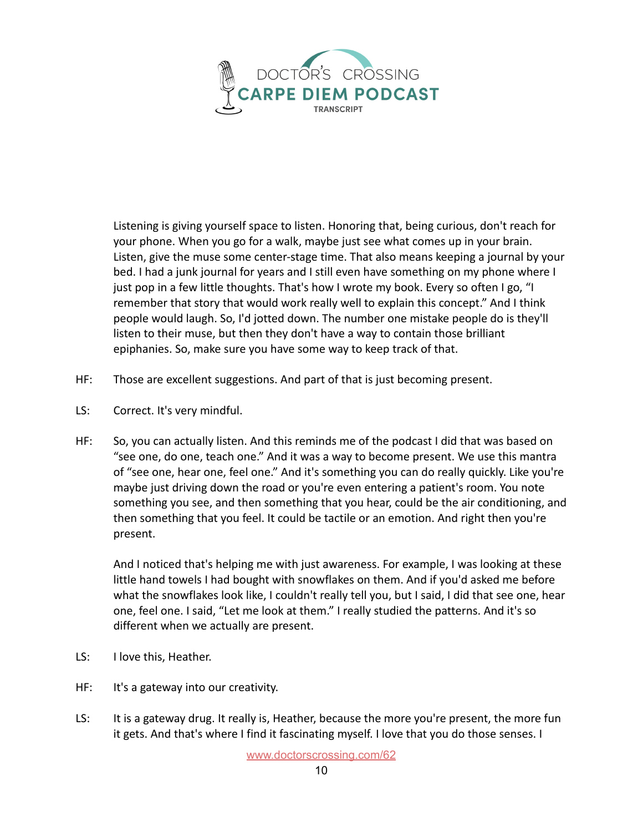

Listening is giving yourself space to listen. Honoring that, being curious, don't reach for your phone. When you go for a walk, maybe just see what comes up in your brain. Listen, give the muse some center-stage time. That also means keeping a journal by your bed. I had a junk journal for years and I still even have something on my phone where I just pop in a few little thoughts. That's how I wrote my book. Every so often I go, "I remember that story that would work really well to explain this concept." And I think people would laugh. So, I'd jotted down. The number one mistake people do is they'll listen to their muse, but then they don't have a way to contain those brilliant epiphanies. So, make sure you have some way to keep track of that.

- HF: Those are excellent suggestions. And part of that is just becoming present.
- LS: Correct. It's very mindful.
- HF: So, you can actually listen. And this reminds me of the podcast I did that was based on "see one, do one, teach one." And it was a way to become present. We use this mantra of "see one, hear one, feel one." And it's something you can do really quickly. Like you're maybe just driving down the road or you're even entering a patient's room. You note something you see, and then something that you hear, could be the air conditioning, and then something that you feel. It could be tactile or an emotion. And right then you're present.

And I noticed that's helping me with just awareness. For example, I was looking at these little hand towels I had bought with snowflakes on them. And if you'd asked me before what the snowflakes look like, I couldn't really tell you, but I said, I did that see one, hear one, feel one. I said, "Let me look at them." I really studied the patterns. And it's so different when we actually are present.

- LS: I love this, Heather.
- HF: It's a gateway into our creativity.
- LS: It is a gateway drug. It really is, Heather, because the more you're present, the more fun it gets. And that's where I find it fascinating myself. I love that you do those senses. I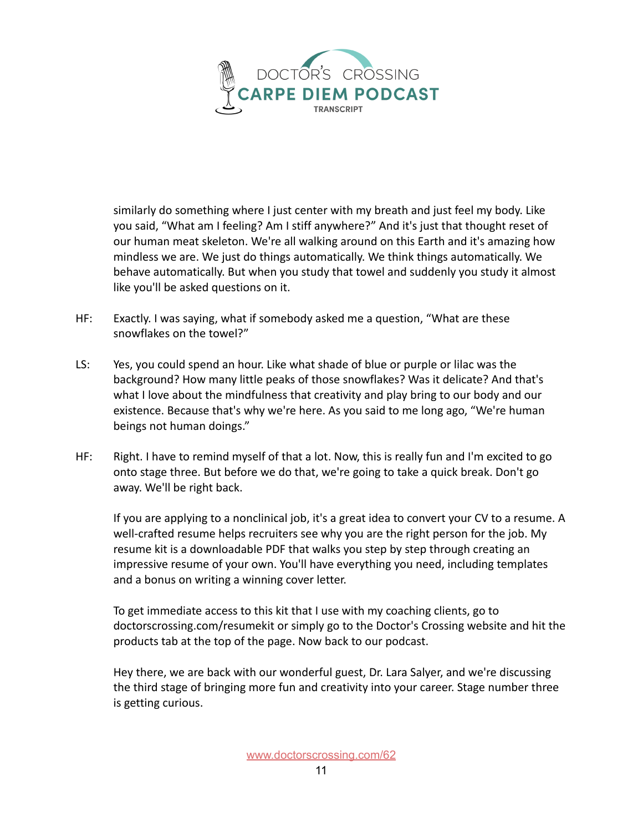

similarly do something where I just center with my breath and just feel my body. Like you said, "What am I feeling? Am I stiff anywhere?" And it's just that thought reset of our human meat skeleton. We're all walking around on this Earth and it's amazing how mindless we are. We just do things automatically. We think things automatically. We behave automatically. But when you study that towel and suddenly you study it almost like you'll be asked questions on it.

- HF: Exactly. I was saying, what if somebody asked me a question, "What are these snowflakes on the towel?"
- LS: Yes, you could spend an hour. Like what shade of blue or purple or lilac was the background? How many little peaks of those snowflakes? Was it delicate? And that's what I love about the mindfulness that creativity and play bring to our body and our existence. Because that's why we're here. As you said to me long ago, "We're human beings not human doings."
- HF: Right. I have to remind myself of that a lot. Now, this is really fun and I'm excited to go onto stage three. But before we do that, we're going to take a quick break. Don't go away. We'll be right back.

If you are applying to a nonclinical job, it's a great idea to convert your CV to a resume. A well-crafted resume helps recruiters see why you are the right person for the job. My resume kit is a downloadable PDF that walks you step by step through creating an impressive resume of your own. You'll have everything you need, including templates and a bonus on writing a winning cover letter.

To get immediate access to this kit that I use with my coaching clients, go to doctorscrossing.com/resumekit or simply go to the Doctor's Crossing website and hit the products tab at the top of the page. Now back to our podcast.

Hey there, we are back with our wonderful guest, Dr. Lara Salyer, and we're discussing the third stage of bringing more fun and creativity into your career. Stage number three is getting curious.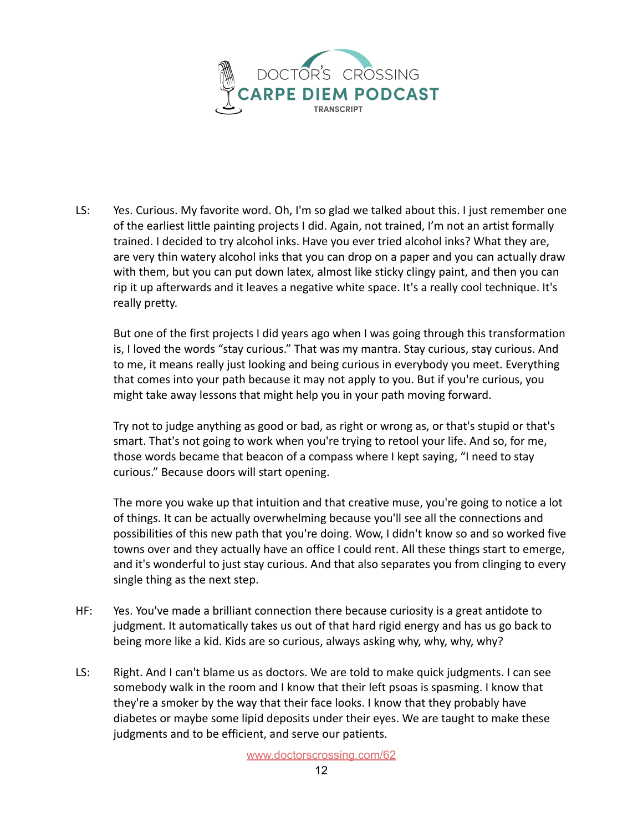

LS: Yes. Curious. My favorite word. Oh, I'm so glad we talked about this. I just remember one of the earliest little painting projects I did. Again, not trained, I'm not an artist formally trained. I decided to try alcohol inks. Have you ever tried alcohol inks? What they are, are very thin watery alcohol inks that you can drop on a paper and you can actually draw with them, but you can put down latex, almost like sticky clingy paint, and then you can rip it up afterwards and it leaves a negative white space. It's a really cool technique. It's really pretty.

But one of the first projects I did years ago when I was going through this transformation is, I loved the words "stay curious." That was my mantra. Stay curious, stay curious. And to me, it means really just looking and being curious in everybody you meet. Everything that comes into your path because it may not apply to you. But if you're curious, you might take away lessons that might help you in your path moving forward.

Try not to judge anything as good or bad, as right or wrong as, or that's stupid or that's smart. That's not going to work when you're trying to retool your life. And so, for me, those words became that beacon of a compass where I kept saying, "I need to stay curious." Because doors will start opening.

The more you wake up that intuition and that creative muse, you're going to notice a lot of things. It can be actually overwhelming because you'll see all the connections and possibilities of this new path that you're doing. Wow, I didn't know so and so worked five towns over and they actually have an office I could rent. All these things start to emerge, and it's wonderful to just stay curious. And that also separates you from clinging to every single thing as the next step.

- HF: Yes. You've made a brilliant connection there because curiosity is a great antidote to judgment. It automatically takes us out of that hard rigid energy and has us go back to being more like a kid. Kids are so curious, always asking why, why, why, why?
- LS: Right. And I can't blame us as doctors. We are told to make quick judgments. I can see somebody walk in the room and I know that their left psoas is spasming. I know that they're a smoker by the way that their face looks. I know that they probably have diabetes or maybe some lipid deposits under their eyes. We are taught to make these judgments and to be efficient, and serve our patients.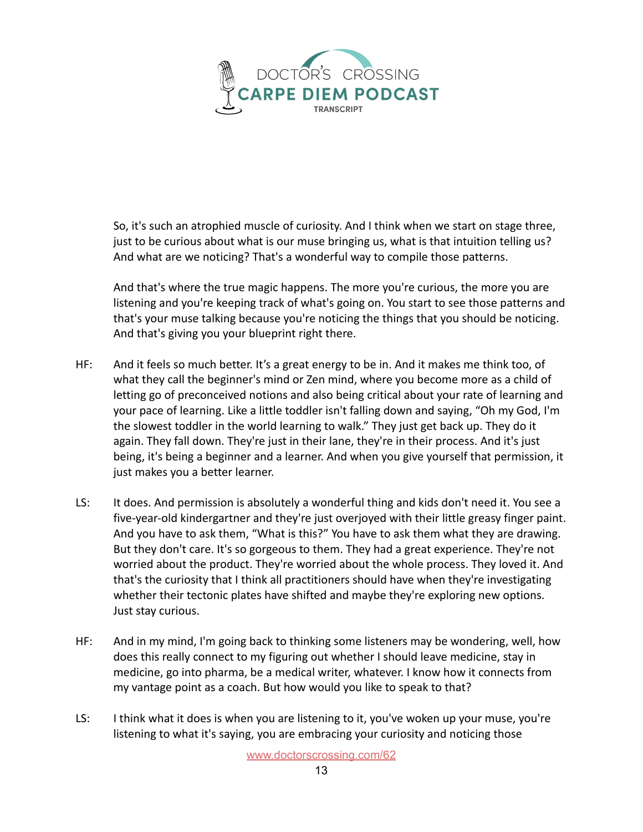

So, it's such an atrophied muscle of curiosity. And I think when we start on stage three, just to be curious about what is our muse bringing us, what is that intuition telling us? And what are we noticing? That's a wonderful way to compile those patterns.

And that's where the true magic happens. The more you're curious, the more you are listening and you're keeping track of what's going on. You start to see those patterns and that's your muse talking because you're noticing the things that you should be noticing. And that's giving you your blueprint right there.

- HF: And it feels so much better. It's a great energy to be in. And it makes me think too, of what they call the beginner's mind or Zen mind, where you become more as a child of letting go of preconceived notions and also being critical about your rate of learning and your pace of learning. Like a little toddler isn't falling down and saying, "Oh my God, I'm the slowest toddler in the world learning to walk." They just get back up. They do it again. They fall down. They're just in their lane, they're in their process. And it's just being, it's being a beginner and a learner. And when you give yourself that permission, it just makes you a better learner.
- LS: It does. And permission is absolutely a wonderful thing and kids don't need it. You see a five-year-old kindergartner and they're just overjoyed with their little greasy finger paint. And you have to ask them, "What is this?" You have to ask them what they are drawing. But they don't care. It's so gorgeous to them. They had a great experience. They're not worried about the product. They're worried about the whole process. They loved it. And that's the curiosity that I think all practitioners should have when they're investigating whether their tectonic plates have shifted and maybe they're exploring new options. Just stay curious.
- HF: And in my mind, I'm going back to thinking some listeners may be wondering, well, how does this really connect to my figuring out whether I should leave medicine, stay in medicine, go into pharma, be a medical writer, whatever. I know how it connects from my vantage point as a coach. But how would you like to speak to that?
- LS: I think what it does is when you are listening to it, you've woken up your muse, you're listening to what it's saying, you are embracing your curiosity and noticing those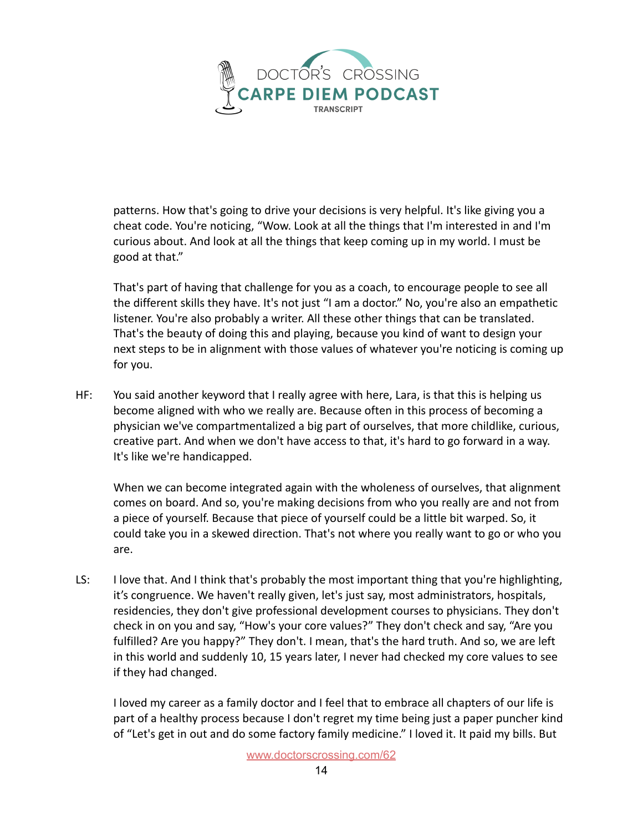

patterns. How that's going to drive your decisions is very helpful. It's like giving you a cheat code. You're noticing, "Wow. Look at all the things that I'm interested in and I'm curious about. And look at all the things that keep coming up in my world. I must be good at that."

That's part of having that challenge for you as a coach, to encourage people to see all the different skills they have. It's not just "I am a doctor." No, you're also an empathetic listener. You're also probably a writer. All these other things that can be translated. That's the beauty of doing this and playing, because you kind of want to design your next steps to be in alignment with those values of whatever you're noticing is coming up for you.

HF: You said another keyword that I really agree with here, Lara, is that this is helping us become aligned with who we really are. Because often in this process of becoming a physician we've compartmentalized a big part of ourselves, that more childlike, curious, creative part. And when we don't have access to that, it's hard to go forward in a way. It's like we're handicapped.

When we can become integrated again with the wholeness of ourselves, that alignment comes on board. And so, you're making decisions from who you really are and not from a piece of yourself. Because that piece of yourself could be a little bit warped. So, it could take you in a skewed direction. That's not where you really want to go or who you are.

LS: I love that. And I think that's probably the most important thing that you're highlighting, it's congruence. We haven't really given, let's just say, most administrators, hospitals, residencies, they don't give professional development courses to physicians. They don't check in on you and say, "How's your core values?" They don't check and say, "Are you fulfilled? Are you happy?" They don't. I mean, that's the hard truth. And so, we are left in this world and suddenly 10, 15 years later, I never had checked my core values to see if they had changed.

I loved my career as a family doctor and I feel that to embrace all chapters of our life is part of a healthy process because I don't regret my time being just a paper puncher kind of "Let's get in out and do some factory family medicine." I loved it. It paid my bills. But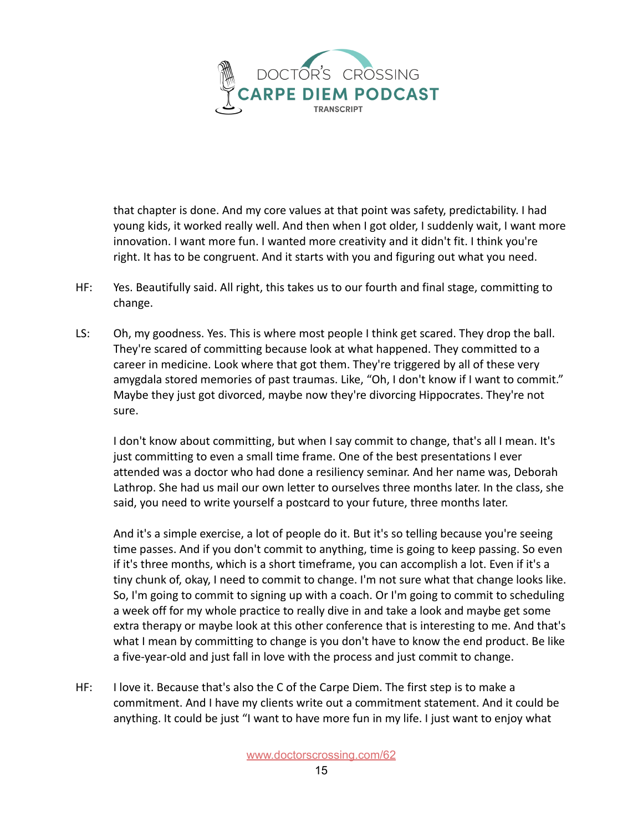

that chapter is done. And my core values at that point was safety, predictability. I had young kids, it worked really well. And then when I got older, I suddenly wait, I want more innovation. I want more fun. I wanted more creativity and it didn't fit. I think you're right. It has to be congruent. And it starts with you and figuring out what you need.

- HF: Yes. Beautifully said. All right, this takes us to our fourth and final stage, committing to change.
- LS: Oh, my goodness. Yes. This is where most people I think get scared. They drop the ball. They're scared of committing because look at what happened. They committed to a career in medicine. Look where that got them. They're triggered by all of these very amygdala stored memories of past traumas. Like, "Oh, I don't know if I want to commit." Maybe they just got divorced, maybe now they're divorcing Hippocrates. They're not sure.

I don't know about committing, but when I say commit to change, that's all I mean. It's just committing to even a small time frame. One of the best presentations I ever attended was a doctor who had done a resiliency seminar. And her name was, Deborah Lathrop. She had us mail our own letter to ourselves three months later. In the class, she said, you need to write yourself a postcard to your future, three months later.

And it's a simple exercise, a lot of people do it. But it's so telling because you're seeing time passes. And if you don't commit to anything, time is going to keep passing. So even if it's three months, which is a short timeframe, you can accomplish a lot. Even if it's a tiny chunk of, okay, I need to commit to change. I'm not sure what that change looks like. So, I'm going to commit to signing up with a coach. Or I'm going to commit to scheduling a week off for my whole practice to really dive in and take a look and maybe get some extra therapy or maybe look at this other conference that is interesting to me. And that's what I mean by committing to change is you don't have to know the end product. Be like a five-year-old and just fall in love with the process and just commit to change.

HF: I love it. Because that's also the C of the Carpe Diem. The first step is to make a commitment. And I have my clients write out a commitment statement. And it could be anything. It could be just "I want to have more fun in my life. I just want to enjoy what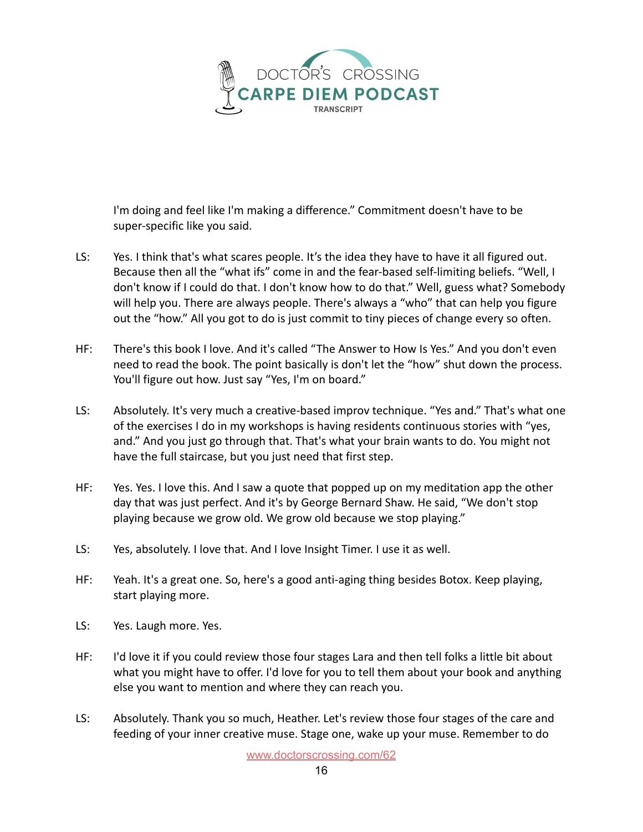

I'm doing and feel like I'm making a difference." Commitment doesn't have to be super-specific like you said.

- LS: Yes. I think that's what scares people. It's the idea they have to have it all figured out. Because then all the "what ifs" come in and the fear-based self-limiting beliefs. "Well, I don't know if I could do that. I don't know how to do that." Well, guess what? Somebody will help you. There are always people. There's always a "who" that can help you figure out the "how." All you got to do is just commit to tiny pieces of change every so often.
- HF: There's this book I love. And it's called "The Answer to How Is Yes." And you don't even need to read the book. The point basically is don't let the "how" shut down the process. You'll figure out how. Just say "Yes, I'm on board."
- LS: Absolutely. It's very much a creative-based improv technique. "Yes and." That's what one of the exercises I do in my workshops is having residents continuous stories with "yes, and." And you just go through that. That's what your brain wants to do. You might not have the full staircase, but you just need that first step.
- HF: Yes. Yes. I love this. And I saw a quote that popped up on my meditation app the other day that was just perfect. And it's by George Bernard Shaw. He said, "We don't stop playing because we grow old. We grow old because we stop playing."
- LS: Yes, absolutely. I love that. And I love Insight Timer. I use it as well.
- HF: Yeah. It's a great one. So, here's a good anti-aging thing besides Botox. Keep playing, start playing more.
- LS: Yes. Laugh more. Yes.
- HF: I'd love it if you could review those four stages Lara and then tell folks a little bit about what you might have to offer. I'd love for you to tell them about your book and anything else you want to mention and where they can reach you.
- LS: Absolutely. Thank you so much, Heather. Let's review those four stages of the care and feeding of your inner creative muse. Stage one, wake up your muse. Remember to do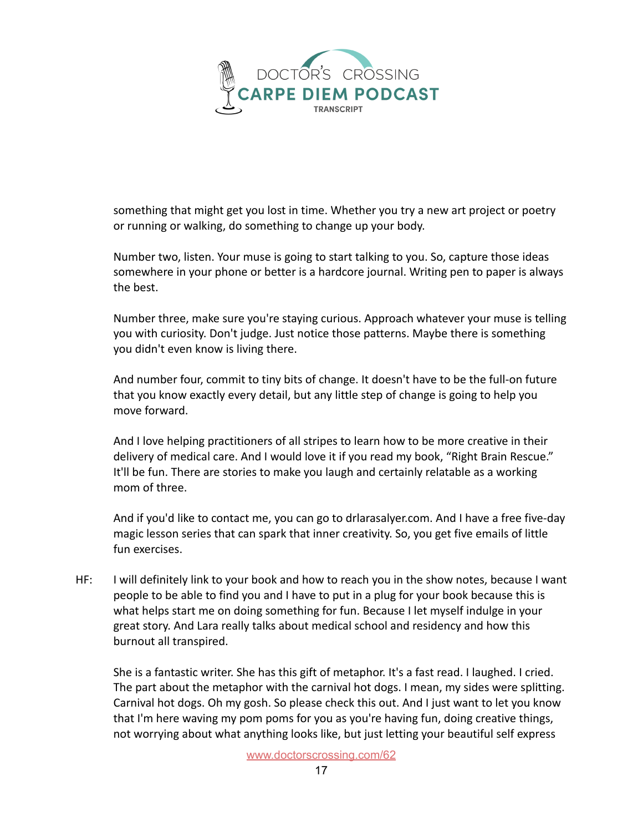

something that might get you lost in time. Whether you try a new art project or poetry or running or walking, do something to change up your body.

Number two, listen. Your muse is going to start talking to you. So, capture those ideas somewhere in your phone or better is a hardcore journal. Writing pen to paper is always the best.

Number three, make sure you're staying curious. Approach whatever your muse is telling you with curiosity. Don't judge. Just notice those patterns. Maybe there is something you didn't even know is living there.

And number four, commit to tiny bits of change. It doesn't have to be the full-on future that you know exactly every detail, but any little step of change is going to help you move forward.

And I love helping practitioners of all stripes to learn how to be more creative in their delivery of medical care. And I would love it if you read my book, "Right Brain Rescue." It'll be fun. There are stories to make you laugh and certainly relatable as a working mom of three.

And if you'd like to contact me, you can go to drlarasalyer.com. And I have a free five-day magic lesson series that can spark that inner creativity. So, you get five emails of little fun exercises.

HF: I will definitely link to your book and how to reach you in the show notes, because I want people to be able to find you and I have to put in a plug for your book because this is what helps start me on doing something for fun. Because I let myself indulge in your great story. And Lara really talks about medical school and residency and how this burnout all transpired.

She is a fantastic writer. She has this gift of metaphor. It's a fast read. I laughed. I cried. The part about the metaphor with the carnival hot dogs. I mean, my sides were splitting. Carnival hot dogs. Oh my gosh. So please check this out. And I just want to let you know that I'm here waving my pom poms for you as you're having fun, doing creative things, not worrying about what anything looks like, but just letting your beautiful self express